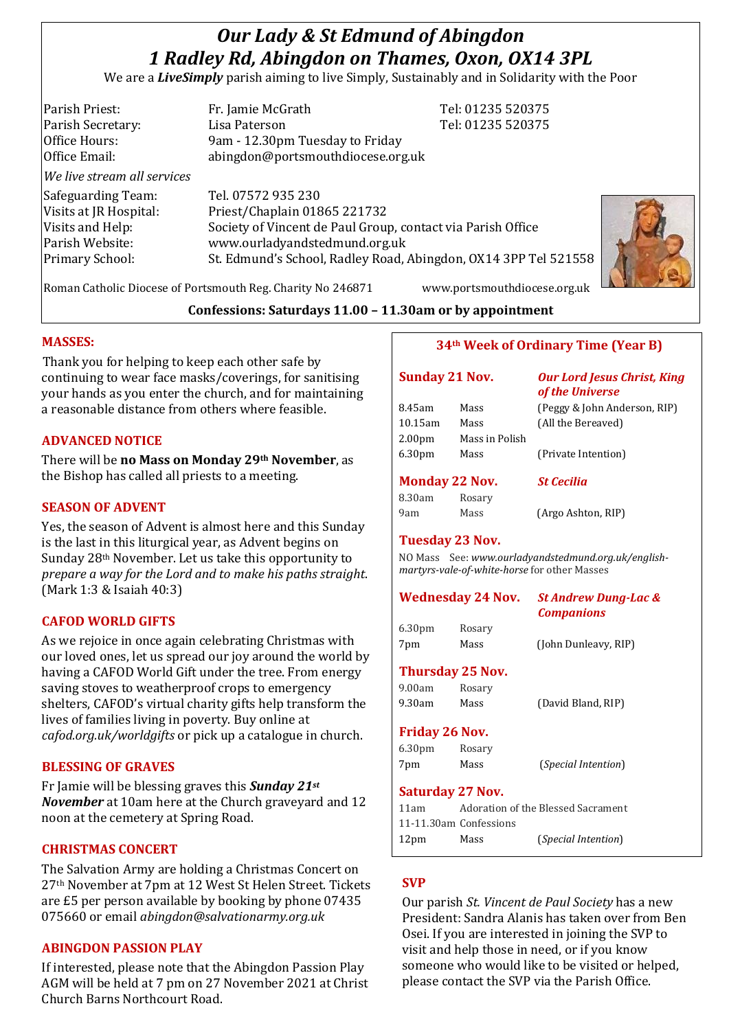# *Our Lady & St Edmund of Abingdon 1 Radley Rd, Abingdon on Thames, Oxon, OX14 3PL*

We are a *LiveSimply* parish aiming to live Simply, Sustainably and in Solidarity with the Poor

| Parish Priest:              | Fr. Jamie McGrath                                               | Tel: 01235 520375 |
|-----------------------------|-----------------------------------------------------------------|-------------------|
| Parish Secretary:           | Lisa Paterson                                                   | Tel: 01235 520375 |
| Office Hours:               | 9am - 12.30pm Tuesday to Friday                                 |                   |
| Office Email:               | abingdon@portsmouthdiocese.org.uk                               |                   |
| We live stream all services |                                                                 |                   |
| Safeguarding Team:          | Tel. 07572 935 230                                              |                   |
| Visits at JR Hospital:      | Priest/Chaplain 01865 221732                                    |                   |
| Visits and Help:            | Society of Vincent de Paul Group, contact via Parish Office     |                   |
| Parish Website:             | www.ourladyandstedmund.org.uk                                   |                   |
| Primary School:             | St. Edmund's School, Radley Road, Abingdon, OX14 3PP Tel 521558 |                   |
|                             |                                                                 |                   |

Roman Catholic Diocese of Portsmouth Reg. Charity No 246871 www.portsmouthdiocese.org.uk

## **Confessions: Saturdays 11.00 – 11.30am or by appointment**

## **MASSES:**

Thank you for helping to keep each other safe by continuing to wear face masks/coverings, for sanitising your hands as you enter the church, and for maintaining a reasonable distance from others where feasible.

## **ADVANCED NOTICE**

There will be **no Mass on Monday 29th November**, as the Bishop has called all priests to a meeting.

### **SEASON OF ADVENT**

Yes, the season of Advent is almost here and this Sunday is the last in this liturgical year, as Advent begins on Sunday 28th November. Let us take this opportunity to *prepare a way for the Lord and to make his paths straight*. (Mark 1:3 & Isaiah 40:3)

## **CAFOD WORLD GIFTS**

As we rejoice in once again celebrating Christmas with our loved ones, let us spread our joy around the world by having a CAFOD World Gift under the tree. From energy saving stoves to weatherproof crops to emergency shelters, CAFOD's virtual charity gifts help transform the lives of families living in poverty. Buy online at *cafod.org.uk/worldgifts* or pick up a catalogue in church.

#### **BLESSING OF GRAVES**

Fr Jamie will be blessing graves this *Sunday 21st November* at 10am here at the Church graveyard and 12 noon at the cemetery at Spring Road.

### **CHRISTMAS CONCERT**

The Salvation Army are holding a Christmas Concert on 27th November at 7pm at 12 West St Helen Street. Tickets are £5 per person available by booking by phone 07435 075660 or email *abingdon@salvationarmy.org.uk*

## **ABINGDON PASSION PLAY**

If interested, please note that the Abingdon Passion Play AGM will be held at 7 pm on 27 November 2021 at Christ Church Barns Northcourt Road.

## **34th Week of Ordinary Time (Year B)**

| <b>Sunday 21 Nov.</b> |                | <b>Our Lord Jesus Christ, King</b><br>of the Universe |
|-----------------------|----------------|-------------------------------------------------------|
| 8.45am                | Mass           | (Peggy & John Anderson, RIP)                          |
| $10.15$ am            | Mass           | (All the Bereaved)                                    |
| 2.00 <sub>pm</sub>    | Mass in Polish |                                                       |
| 6.30 <sub>pm</sub>    | Mass           | (Private Intention)                                   |
| <b>Monday 22 Nov.</b> |                | <b>St Cecilia</b>                                     |
| 8.30am                | Rosary         |                                                       |
| 9am                   | Mass           | (Argo Ashton, RIP)                                    |

#### **Tuesday 23 Nov.**

NO Mass See: *www.ourladyandstedmund.org.uk/englishmartyrs-vale-of-white-horse* for other Masses

| <b>Wednesday 24 Nov.</b>  |                | <b>St Andrew Dung-Lac &amp;</b><br><b>Companions</b> |  |
|---------------------------|----------------|------------------------------------------------------|--|
| 6.30 <sub>pm</sub><br>7pm | Rosary<br>Mass | (John Dunleavy, RIP)                                 |  |

#### **Thursday 25 Nov.**

| 9.00am | Rosary |                    |
|--------|--------|--------------------|
| 9.30am | Mass   | (David Bland, RIP) |

#### **Friday 26 Nov.**

| 6.30 <sub>pm</sub> | Rosary |                              |
|--------------------|--------|------------------------------|
| 7pm                | Mass   | ( <i>Special Intention</i> ) |

#### **Saturday 27 Nov.**

| 11am             |                        | Adoration of the Blessed Sacrament |
|------------------|------------------------|------------------------------------|
|                  | 11-11.30am Confessions |                                    |
| 12 <sub>pm</sub> | Mass                   | ( <i>Special Intention</i> )       |

## **SVP**

Our parish *St. Vincent de Paul Society* has a new President: Sandra Alanis has taken over from Ben Osei. If you are interested in joining the SVP to visit and help those in need, or if you know someone who would like to be visited or helped, please contact the SVP via the Parish Office.